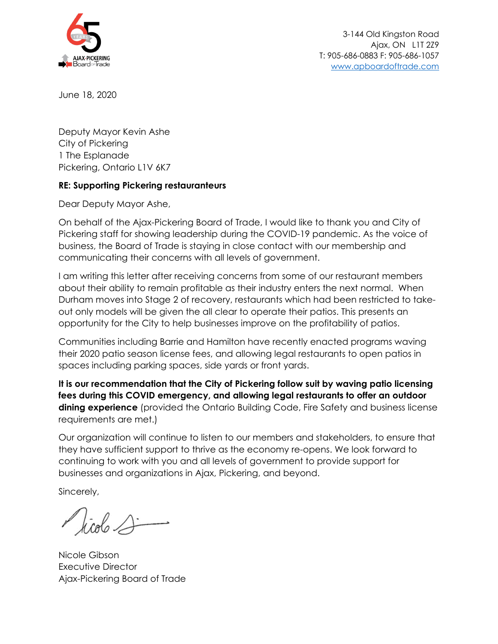

June 18, 2020

Deputy Mayor Kevin Ashe City of Pickering 1 The Esplanade Pickering, Ontario L1V 6K7

## **RE: Supporting Pickering restauranteurs**

Dear Deputy Mayor Ashe,

On behalf of the Ajax-Pickering Board of Trade, I would like to thank you and City of Pickering staff for showing leadership during the COVID-19 pandemic. As the voice of business, the Board of Trade is staying in close contact with our membership and communicating their concerns with all levels of government.

I am writing this letter after receiving concerns from some of our restaurant members about their ability to remain profitable as their industry enters the next normal. When Durham moves into Stage 2 of recovery, restaurants which had been restricted to takeout only models will be given the all clear to operate their patios. This presents an opportunity for the City to help businesses improve on the profitability of patios.

Communities including Barrie and Hamilton have recently enacted programs waving their 2020 patio season license fees, and allowing legal restaurants to open patios in spaces including parking spaces, side yards or front yards.

**It is our recommendation that the City of Pickering follow suit by waving patio licensing fees during this COVID emergency, and allowing legal restaurants to offer an outdoor dining experience** (provided the Ontario Building Code, Fire Safety and business license requirements are met.)

Our organization will continue to listen to our members and stakeholders, to ensure that they have sufficient support to thrive as the economy re-opens. We look forward to continuing to work with you and all levels of government to provide support for businesses and organizations in Ajax, Pickering, and beyond.

Sincerely,

Nicole Gibson Executive Director Ajax-Pickering Board of Trade